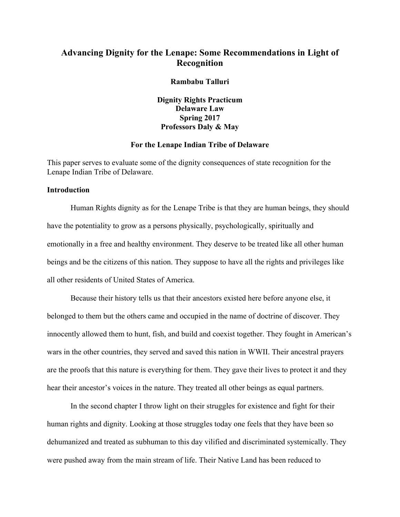# **Advancing Dignity for the Lenape: Some Recommendations in Light of Recognition**

#### **Rambabu Talluri**

**Dignity Rights Practicum Delaware Law Spring 2017 Professors Daly & May**

## **For the Lenape Indian Tribe of Delaware**

This paper serves to evaluate some of the dignity consequences of state recognition for the Lenape Indian Tribe of Delaware.

# **Introduction**

Human Rights dignity as for the Lenape Tribe is that they are human beings, they should have the potentiality to grow as a persons physically, psychologically, spiritually and emotionally in a free and healthy environment. They deserve to be treated like all other human beings and be the citizens of this nation. They suppose to have all the rights and privileges like all other residents of United States of America.

Because their history tells us that their ancestors existed here before anyone else, it belonged to them but the others came and occupied in the name of doctrine of discover. They innocently allowed them to hunt, fish, and build and coexist together. They fought in American's wars in the other countries, they served and saved this nation in WWII. Their ancestral prayers are the proofs that this nature is everything for them. They gave their lives to protect it and they hear their ancestor's voices in the nature. They treated all other beings as equal partners.

In the second chapter I throw light on their struggles for existence and fight for their human rights and dignity. Looking at those struggles today one feels that they have been so dehumanized and treated as subhuman to this day vilified and discriminated systemically. They were pushed away from the main stream of life. Their Native Land has been reduced to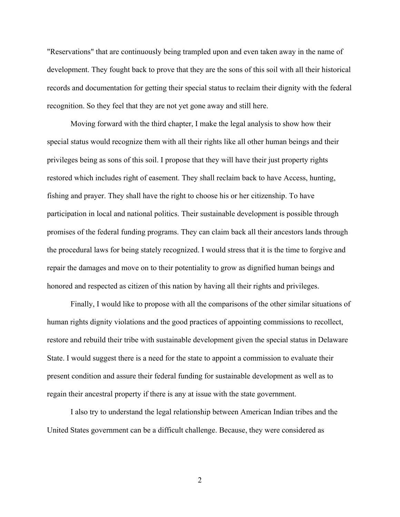"Reservations" that are continuously being trampled upon and even taken away in the name of development. They fought back to prove that they are the sons of this soil with all their historical records and documentation for getting their special status to reclaim their dignity with the federal recognition. So they feel that they are not yet gone away and still here.

Moving forward with the third chapter, I make the legal analysis to show how their special status would recognize them with all their rights like all other human beings and their privileges being as sons of this soil. I propose that they will have their just property rights restored which includes right of easement. They shall reclaim back to have Access, hunting, fishing and prayer. They shall have the right to choose his or her citizenship. To have participation in local and national politics. Their sustainable development is possible through promises of the federal funding programs. They can claim back all their ancestors lands through the procedural laws for being stately recognized. I would stress that it is the time to forgive and repair the damages and move on to their potentiality to grow as dignified human beings and honored and respected as citizen of this nation by having all their rights and privileges.

Finally, I would like to propose with all the comparisons of the other similar situations of human rights dignity violations and the good practices of appointing commissions to recollect, restore and rebuild their tribe with sustainable development given the special status in Delaware State. I would suggest there is a need for the state to appoint a commission to evaluate their present condition and assure their federal funding for sustainable development as well as to regain their ancestral property if there is any at issue with the state government.

I also try to understand the legal relationship between American Indian tribes and the United States government can be a difficult challenge. Because, they were considered as

2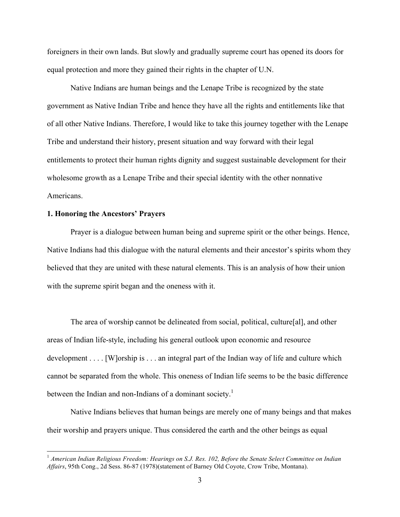foreigners in their own lands. But slowly and gradually supreme court has opened its doors for equal protection and more they gained their rights in the chapter of U.N.

Native Indians are human beings and the Lenape Tribe is recognized by the state government as Native Indian Tribe and hence they have all the rights and entitlements like that of all other Native Indians. Therefore, I would like to take this journey together with the Lenape Tribe and understand their history, present situation and way forward with their legal entitlements to protect their human rights dignity and suggest sustainable development for their wholesome growth as a Lenape Tribe and their special identity with the other nonnative Americans.

#### **1. Honoring the Ancestors' Prayers**

Prayer is a dialogue between human being and supreme spirit or the other beings. Hence, Native Indians had this dialogue with the natural elements and their ancestor's spirits whom they believed that they are united with these natural elements. This is an analysis of how their union with the supreme spirit began and the oneness with it.

The area of worship cannot be delineated from social, political, culture[al], and other areas of Indian life-style, including his general outlook upon economic and resource development . . . . [W]orship is . . . an integral part of the Indian way of life and culture which cannot be separated from the whole. This oneness of Indian life seems to be the basic difference between the Indian and non-Indians of a dominant society.<sup>1</sup>

Native Indians believes that human beings are merely one of many beings and that makes their worship and prayers unique. Thus considered the earth and the other beings as equal

 <sup>1</sup> *American Indian Religious Freedom: Hearings on S.J. Res. 102, Before the Senate Select Committee on Indian Affairs*, 95th Cong., 2d Sess. 86-87 (1978)(statement of Barney Old Coyote, Crow Tribe, Montana).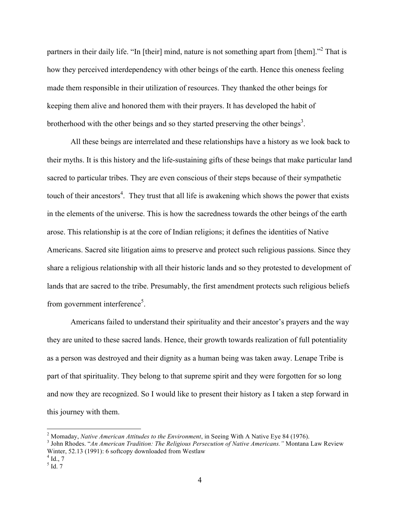partners in their daily life. "In [their] mind, nature is not something apart from [them]."<sup>2</sup> That is how they perceived interdependency with other beings of the earth. Hence this oneness feeling made them responsible in their utilization of resources. They thanked the other beings for keeping them alive and honored them with their prayers. It has developed the habit of brotherhood with the other beings and so they started preserving the other beings<sup>3</sup>.

All these beings are interrelated and these relationships have a history as we look back to their myths. It is this history and the life-sustaining gifts of these beings that make particular land sacred to particular tribes. They are even conscious of their steps because of their sympathetic touch of their ancestors<sup>4</sup>. They trust that all life is awakening which shows the power that exists in the elements of the universe. This is how the sacredness towards the other beings of the earth arose. This relationship is at the core of Indian religions; it defines the identities of Native Americans. Sacred site litigation aims to preserve and protect such religious passions. Since they share a religious relationship with all their historic lands and so they protested to development of lands that are sacred to the tribe. Presumably, the first amendment protects such religious beliefs from government interference<sup>5</sup>.

Americans failed to understand their spirituality and their ancestor's prayers and the way they are united to these sacred lands. Hence, their growth towards realization of full potentiality as a person was destroyed and their dignity as a human being was taken away. Lenape Tribe is part of that spirituality. They belong to that supreme spirit and they were forgotten for so long and now they are recognized. So I would like to present their history as I taken a step forward in this journey with them.

<sup>&</sup>lt;sup>2</sup> Momaday, *Native American Attitudes to the Environment*, in Seeing With A Native Eye 84 (1976).<br><sup>3</sup> John Rhodes. "An American Tradition: The Religious Persecution of Native Americans." Montana Law Review

Winter, 52.13 (1991): 6 softcopy downloaded from Westlaw

 $^{4}$  Id., 7

 $<sup>5</sup>$  Id. 7</sup>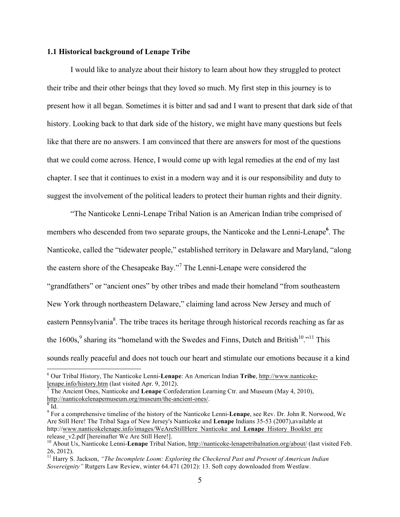## **1.1 Historical background of Lenape Tribe**

I would like to analyze about their history to learn about how they struggled to protect their tribe and their other beings that they loved so much. My first step in this journey is to present how it all began. Sometimes it is bitter and sad and I want to present that dark side of that history. Looking back to that dark side of the history, we might have many questions but feels like that there are no answers. I am convinced that there are answers for most of the questions that we could come across. Hence, I would come up with legal remedies at the end of my last chapter. I see that it continues to exist in a modern way and it is our responsibility and duty to suggest the involvement of the political leaders to protect their human rights and their dignity.

"The Nanticoke Lenni-Lenape Tribal Nation is an American Indian tribe comprised of members who descended from two separate groups, the Nanticoke and the Lenni-Lenape<sup>6</sup>. The Nanticoke, called the "tidewater people," established territory in Delaware and Maryland, "along the eastern shore of the Chesapeake Bay."<sup>7</sup> The Lenni-Lenape were considered the "grandfathers" or "ancient ones" by other tribes and made their homeland "from southeastern New York through northeastern Delaware," claiming land across New Jersey and much of eastern Pennsylvania $\delta$ . The tribe traces its heritage through historical records reaching as far as the  $1600s$ ,  $9$  sharing its "homeland with the Swedes and Finns, Dutch and British<sup>10</sup>."<sup>11</sup> This sounds really peaceful and does not touch our heart and stimulate our emotions because it a kind

 <sup>6</sup> Our Tribal History, The Nanticoke Lenni-**Lenape**: An American Indian **Tribe**, http://www.nanticoke-

<sup>&</sup>lt;sup>7</sup> The Ancient Ones, Nanticoke and Lenape Confederation Learning Ctr. and Museum (May 4, 2010), http://nanticokelenapemuseum.org/museum/the-ancient-ones/.  $\frac{8}{10}$  Id.

<sup>9</sup> For a comprehensive timeline of the history of the Nanticoke Lenni-**Lenape**, see Rev. Dr. John R. Norwood, We Are Still Here! The Tribal Saga of New Jersey's Nanticoke and **Lenape** Indians 35-53 (2007),available at http://www.nanticokelenape.info/images/WeAreStillHere\_Nanticoke\_and\_Lenape\_History\_Booklet\_pre<br>release\_v2.pdf [hereinafter We Are Still Here!].

<sup>&</sup>lt;sup>10</sup> About Us, Nanticoke Lenni-**Lenape** Tribal Nation, http://nanticoke-lenapetribalnation.org/about/ (last visited Feb. 26, 2012).

<sup>&</sup>lt;sup>11</sup> Harry S. Jackson, "The Incomplete Loom: Exploring the Checkered Past and Present of American Indian *Sovereignity"* Rutgers Law Review, winter 64.471 (2012): 13. Soft copy downloaded from Westlaw.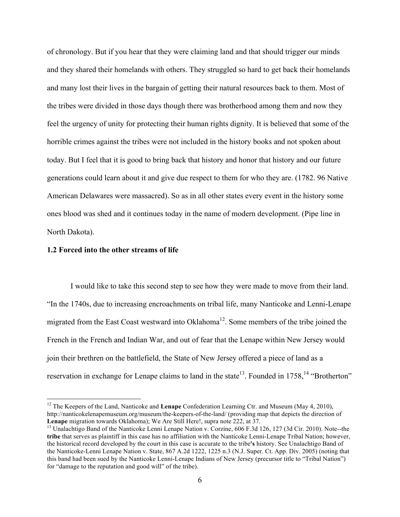of chronology. But if you hear that they were claiming land and that should trigger our minds and they shared their homelands with others. They struggled so hard to get back their homelands and many lost their lives in the bargain of getting their natural resources back to them. Most of the tribes were divided in those days though there was brotherhood among them and now they feel the urgency of unity for protecting their human rights dignity. It is believed that some of the horrible crimes against the tribes were not included in the history books and not spoken about today. But I feel that it is good to bring back that history and honor that history and our future generations could learn about it and give due respect to them for who they are. (1782. 96 Native American Delawares were massacred). So as in all other states every event in the history some ones blood was shed and it continues today in the name of modern development. (Pipe line in North Dakota).

#### **1.2 Forced into the other streams of life**

I would like to take this second step to see how they were made to move from their land. "In the 1740s, due to increasing encroachments on tribal life, many Nanticoke and Lenni-Lenape migrated from the East Coast westward into Oklahoma<sup>12</sup>. Some members of the tribe joined the French in the French and Indian War, and out of fear that the Lenape within New Jersey would join their brethren on the battlefield, the State of New Jersey offered a piece of land as a reservation in exchange for Lenape claims to land in the state<sup>13</sup>. Founded in  $1758$ ,  $14$  "Brotherton"

 <sup>12</sup> The Keepers of the Land, Nanticoke and **Lenape** Confederation Learning Ctr. and Museum (May 4, 2010), http://nanticokelenapemuseum.org/museum/the-keepers-of-the-land/ (providing map that depicts the direction of Lenape migration towards Oklahoma); We Are Still Here!, supra note 222, at 37.

<sup>&</sup>lt;sup>13</sup> Unalachtigo Band of the Nanticoke Lenni Lenape Nation v. Corzine, 606 F.3d 126, 127 (3d Cir. 2010). Note--the **tribe** that serves as plaintiff in this case has no affiliation with the Nanticoke Lenni-Lenape Tribal Nation; however, the historical record developed by the court in this case is accurate to the tribe**'s** history. See Unalachtigo Band of the Nanticoke-Lenni Lenape Nation v. State, 867 A.2d 1222, 1225 n.3 (N.J. Super. Ct. App. Div. 2005) (noting that this band had been sued by the Nanticoke Lenni-Lenape Indians of New Jersey (precursor title to "Tribal Nation") for "damage to the reputation and good will" of the tribe).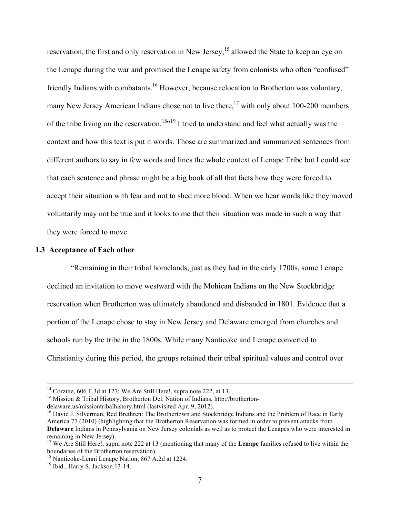reservation, the first and only reservation in New Jersey,<sup>15</sup> allowed the State to keep an eye on the Lenape during the war and promised the Lenape safety from colonists who often "confused" friendly Indians with combatants.<sup>16</sup> However, because relocation to Brotherton was voluntary, many New Jersey American Indians chose not to live there,  $17$  with only about 100-200 members of the tribe living on the reservation.<sup>18,19</sup> I tried to understand and feel what actually was the context and how this text is put it words. Those are summarized and summarized sentences from different authors to say in few words and lines the whole context of Lenape Tribe but I could see that each sentence and phrase might be a big book of all that facts how they were forced to accept their situation with fear and not to shed more blood. When we hear words like they moved voluntarily may not be true and it looks to me that their situation was made in such a way that they were forced to move.

#### **1.3 Acceptance of Each other**

"Remaining in their tribal homelands, just as they had in the early 1700s, some Lenape declined an invitation to move westward with the Mohican Indians on the New Stockbridge reservation when Brotherton was ultimately abandoned and disbanded in 1801. Evidence that a portion of the Lenape chose to stay in New Jersey and Delaware emerged from churches and schools run by the tribe in the 1800s. While many Nanticoke and Lenape converted to Christianity during this period, the groups retained their tribal spiritual values and control over

<sup>&</sup>lt;sup>14</sup> Corzine, 606 F.3d at 127; We Are Still Here!, supra note 222, at 13.<br><sup>15</sup> Mission & Tribal History, Brotherton Del. Nation of Indians, http://brotherton-

delaware.us/missiontribalhistory.html (lastvisited Apr. 9, 2012).

<sup>&</sup>lt;sup>16</sup> David J. Silverman, Red Brethren: The Brothertown and Stockbridge Indians and the Problem of Race in Early America 77 (2010) (highlighting that the Brotherton Reservation was formed in order to prevent attacks from **Delaware** Indians in Pennsylvania on New Jersey colonials as well as to protect the Lenapes who were interested in remaining in New Jersey).

<sup>17</sup> We Are Still Here!, supra note 222 at 13 (mentioning that many of the **Lenape** families refused to live within the boundaries of the Brotherton reservation).

<sup>&</sup>lt;sup>18</sup> Nanticoke-Lenni Lenape Nation, 867 A.2d at 1224.<br><sup>19</sup> Ibid., Harry S. Jackson.13-14.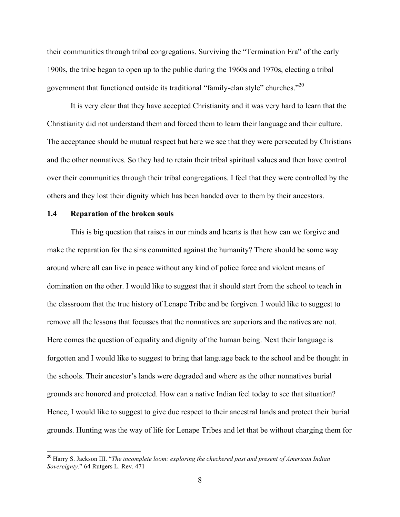their communities through tribal congregations. Surviving the "Termination Era" of the early 1900s, the tribe began to open up to the public during the 1960s and 1970s, electing a tribal government that functioned outside its traditional "family-clan style" churches."<sup>20</sup>

It is very clear that they have accepted Christianity and it was very hard to learn that the Christianity did not understand them and forced them to learn their language and their culture. The acceptance should be mutual respect but here we see that they were persecuted by Christians and the other nonnatives. So they had to retain their tribal spiritual values and then have control over their communities through their tribal congregations. I feel that they were controlled by the others and they lost their dignity which has been handed over to them by their ancestors.

## **1.4 Reparation of the broken souls**

This is big question that raises in our minds and hearts is that how can we forgive and make the reparation for the sins committed against the humanity? There should be some way around where all can live in peace without any kind of police force and violent means of domination on the other. I would like to suggest that it should start from the school to teach in the classroom that the true history of Lenape Tribe and be forgiven. I would like to suggest to remove all the lessons that focusses that the nonnatives are superiors and the natives are not. Here comes the question of equality and dignity of the human being. Next their language is forgotten and I would like to suggest to bring that language back to the school and be thought in the schools. Their ancestor's lands were degraded and where as the other nonnatives burial grounds are honored and protected. How can a native Indian feel today to see that situation? Hence, I would like to suggest to give due respect to their ancestral lands and protect their burial grounds. Hunting was the way of life for Lenape Tribes and let that be without charging them for

 <sup>20</sup> Harry S. Jackson III. "*The incomplete loom: exploring the checkered past and present of American Indian Sovereignty.*" 64 Rutgers L. Rev. 471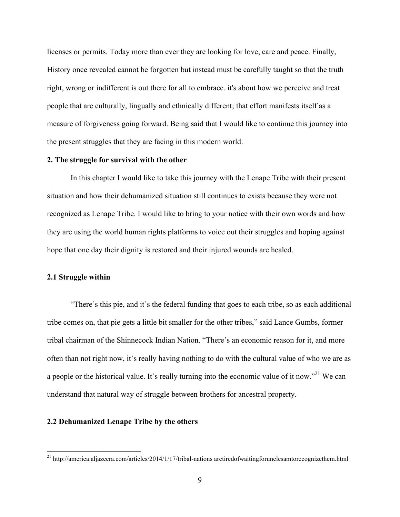licenses or permits. Today more than ever they are looking for love, care and peace. Finally, History once revealed cannot be forgotten but instead must be carefully taught so that the truth right, wrong or indifferent is out there for all to embrace. it's about how we perceive and treat people that are culturally, lingually and ethnically different; that effort manifests itself as a measure of forgiveness going forward. Being said that I would like to continue this journey into the present struggles that they are facing in this modern world.

# **2. The struggle for survival with the other**

In this chapter I would like to take this journey with the Lenape Tribe with their present situation and how their dehumanized situation still continues to exists because they were not recognized as Lenape Tribe. I would like to bring to your notice with their own words and how they are using the world human rights platforms to voice out their struggles and hoping against hope that one day their dignity is restored and their injured wounds are healed.

## **2.1 Struggle within**

"There's this pie, and it's the federal funding that goes to each tribe, so as each additional tribe comes on, that pie gets a little bit smaller for the other tribes," said Lance Gumbs, former tribal chairman of the Shinnecock Indian Nation. "There's an economic reason for it, and more often than not right now, it's really having nothing to do with the cultural value of who we are as a people or the historical value. It's really turning into the economic value of it now."21 We can understand that natural way of struggle between brothers for ancestral property.

# **2.2 Dehumanized Lenape Tribe by the others**

 <sup>21</sup> http://america.aljazeera.com/articles/2014/1/17/tribal-nations aretiredofwaitingforunclesamtorecognizethem.html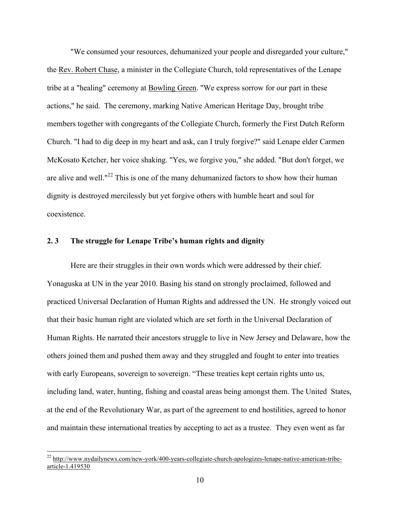"We consumed your resources, dehumanized your people and disregarded your culture," the Rev. Robert Chase, a minister in the Collegiate Church, told representatives of the Lenape tribe at a "healing" ceremony at Bowling Green. "We express sorrow for our part in these actions," he said. The ceremony, marking Native American Heritage Day, brought tribe members together with congregants of the Collegiate Church, formerly the First Dutch Reform Church. "I had to dig deep in my heart and ask, can I truly forgive?" said Lenape elder Carmen McKosato Ketcher, her voice shaking. "Yes, we forgive you," she added. "But don't forget, we are alive and well."<sup>22</sup> This is one of the many dehumanized factors to show how their human dignity is destroyed mercilessly but yet forgive others with humble heart and soul for coexistence.

# **2. 3 The struggle for Lenape Tribe's human rights and dignity**

Here are their struggles in their own words which were addressed by their chief. Yonaguska at UN in the year 2010. Basing his stand on strongly proclaimed, followed and practiced Universal Declaration of Human Rights and addressed the UN. He strongly voiced out that their basic human right are violated which are set forth in the Universal Declaration of Human Rights. He narrated their ancestors struggle to live in New Jersey and Delaware, how the others joined them and pushed them away and they struggled and fought to enter into treaties with early Europeans, sovereign to sovereign. "These treaties kept certain rights unto us, including land, water, hunting, fishing and coastal areas being amongst them. The United States, at the end of the Revolutionary War, as part of the agreement to end hostilities, agreed to honor and maintain these international treaties by accepting to act as a trustee. They even went as far

<sup>&</sup>lt;sup>22</sup> http://www.nydailynews.com/new-york/400-years-collegiate-church-apologizes-lenape-native-american-tribearticle-1.419530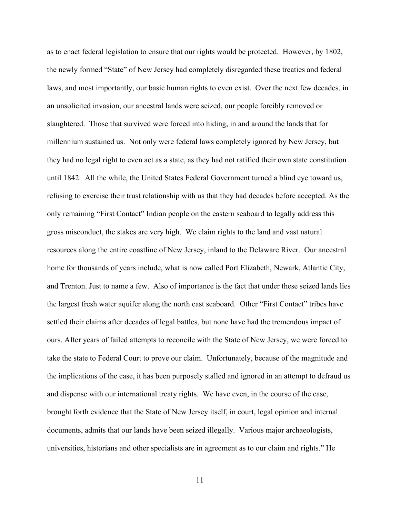as to enact federal legislation to ensure that our rights would be protected. However, by 1802, the newly formed "State" of New Jersey had completely disregarded these treaties and federal laws, and most importantly, our basic human rights to even exist. Over the next few decades, in an unsolicited invasion, our ancestral lands were seized, our people forcibly removed or slaughtered. Those that survived were forced into hiding, in and around the lands that for millennium sustained us. Not only were federal laws completely ignored by New Jersey, but they had no legal right to even act as a state, as they had not ratified their own state constitution until 1842. All the while, the United States Federal Government turned a blind eye toward us, refusing to exercise their trust relationship with us that they had decades before accepted. As the only remaining "First Contact" Indian people on the eastern seaboard to legally address this gross misconduct, the stakes are very high. We claim rights to the land and vast natural resources along the entire coastline of New Jersey, inland to the Delaware River. Our ancestral home for thousands of years include, what is now called Port Elizabeth, Newark, Atlantic City, and Trenton. Just to name a few. Also of importance is the fact that under these seized lands lies the largest fresh water aquifer along the north east seaboard. Other "First Contact" tribes have settled their claims after decades of legal battles, but none have had the tremendous impact of ours. After years of failed attempts to reconcile with the State of New Jersey, we were forced to take the state to Federal Court to prove our claim. Unfortunately, because of the magnitude and the implications of the case, it has been purposely stalled and ignored in an attempt to defraud us and dispense with our international treaty rights. We have even, in the course of the case, brought forth evidence that the State of New Jersey itself, in court, legal opinion and internal documents, admits that our lands have been seized illegally. Various major archaeologists, universities, historians and other specialists are in agreement as to our claim and rights." He

11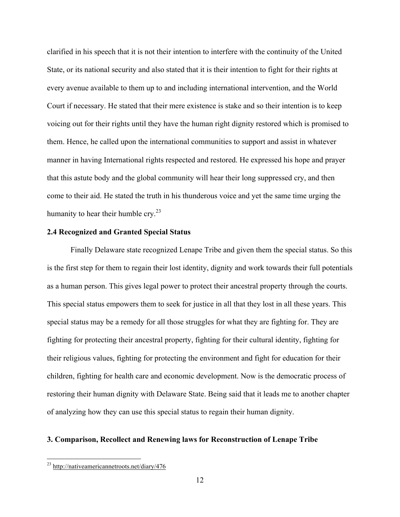clarified in his speech that it is not their intention to interfere with the continuity of the United State, or its national security and also stated that it is their intention to fight for their rights at every avenue available to them up to and including international intervention, and the World Court if necessary. He stated that their mere existence is stake and so their intention is to keep voicing out for their rights until they have the human right dignity restored which is promised to them. Hence, he called upon the international communities to support and assist in whatever manner in having International rights respected and restored. He expressed his hope and prayer that this astute body and the global community will hear their long suppressed cry, and then come to their aid. He stated the truth in his thunderous voice and yet the same time urging the humanity to hear their humble  $\text{cry.}^{23}$ 

## **2.4 Recognized and Granted Special Status**

Finally Delaware state recognized Lenape Tribe and given them the special status. So this is the first step for them to regain their lost identity, dignity and work towards their full potentials as a human person. This gives legal power to protect their ancestral property through the courts. This special status empowers them to seek for justice in all that they lost in all these years. This special status may be a remedy for all those struggles for what they are fighting for. They are fighting for protecting their ancestral property, fighting for their cultural identity, fighting for their religious values, fighting for protecting the environment and fight for education for their children, fighting for health care and economic development. Now is the democratic process of restoring their human dignity with Delaware State. Being said that it leads me to another chapter of analyzing how they can use this special status to regain their human dignity.

## **3. Comparison, Recollect and Renewing laws for Reconstruction of Lenape Tribe**

 <sup>23</sup> http://nativeamericannetroots.net/diary/476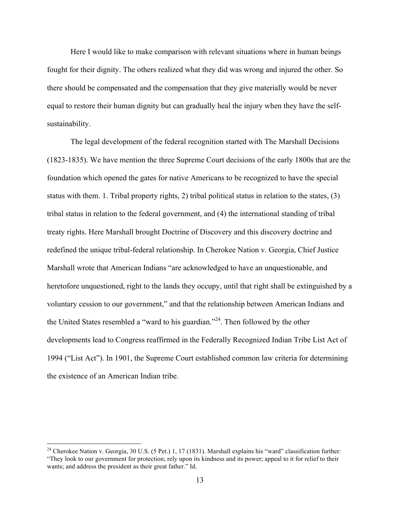Here I would like to make comparison with relevant situations where in human beings fought for their dignity. The others realized what they did was wrong and injured the other. So there should be compensated and the compensation that they give materially would be never equal to restore their human dignity but can gradually heal the injury when they have the selfsustainability.

The legal development of the federal recognition started with The Marshall Decisions (1823-1835). We have mention the three Supreme Court decisions of the early 1800s that are the foundation which opened the gates for native Americans to be recognized to have the special status with them. 1. Tribal property rights, 2) tribal political status in relation to the states, (3) tribal status in relation to the federal government, and (4) the international standing of tribal treaty rights. Here Marshall brought Doctrine of Discovery and this discovery doctrine and redefined the unique tribal-federal relationship. In Cherokee Nation v. Georgia, Chief Justice Marshall wrote that American Indians "are acknowledged to have an unquestionable, and heretofore unquestioned, right to the lands they occupy, until that right shall be extinguished by a voluntary cession to our government," and that the relationship between American Indians and the United States resembled a "ward to his guardian."24. Then followed by the other developments lead to Congress reaffirmed in the Federally Recognized Indian Tribe List Act of 1994 ("List Act"). In 1901, the Supreme Court established common law criteria for determining the existence of an American Indian tribe.

<sup>&</sup>lt;sup>24</sup> Cherokee Nation v. Georgia, 30 U.S. (5 Pet.) 1, 17 (1831). Marshall explains his "ward" classification further: "They look to our government for protection; rely upon its kindness and its power; appeal to it for relief to their wants; and address the president as their great father." Id.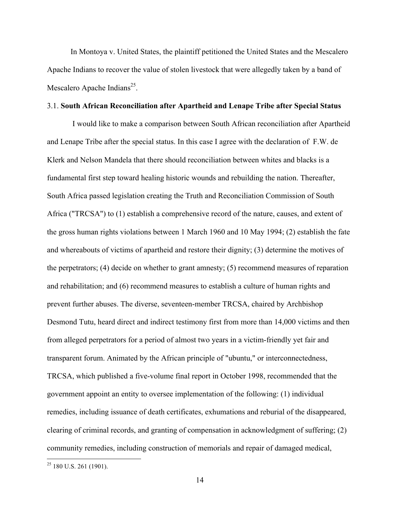In Montoya v. United States, the plaintiff petitioned the United States and the Mescalero Apache Indians to recover the value of stolen livestock that were allegedly taken by a band of Mescalero Apache Indians<sup>25</sup>.

#### 3.1. **South African Reconciliation after Apartheid and Lenape Tribe after Special Status**

I would like to make a comparison between South African reconciliation after Apartheid and Lenape Tribe after the special status. In this case I agree with the declaration of F.W. de Klerk and Nelson Mandela that there should reconciliation between whites and blacks is a fundamental first step toward healing historic wounds and rebuilding the nation. Thereafter, South Africa passed legislation creating the Truth and Reconciliation Commission of South Africa ("TRCSA") to (1) establish a comprehensive record of the nature, causes, and extent of the gross human rights violations between 1 March 1960 and 10 May 1994; (2) establish the fate and whereabouts of victims of apartheid and restore their dignity; (3) determine the motives of the perpetrators; (4) decide on whether to grant amnesty; (5) recommend measures of reparation and rehabilitation; and (6) recommend measures to establish a culture of human rights and prevent further abuses. The diverse, seventeen-member TRCSA, chaired by Archbishop Desmond Tutu, heard direct and indirect testimony first from more than 14,000 victims and then from alleged perpetrators for a period of almost two years in a victim-friendly yet fair and transparent forum. Animated by the African principle of "ubuntu," or interconnectedness, TRCSA, which published a five-volume final report in October 1998, recommended that the government appoint an entity to oversee implementation of the following: (1) individual remedies, including issuance of death certificates, exhumations and reburial of the disappeared, clearing of criminal records, and granting of compensation in acknowledgment of suffering; (2) community remedies, including construction of memorials and repair of damaged medical,

 $25$  180 U.S. 261 (1901).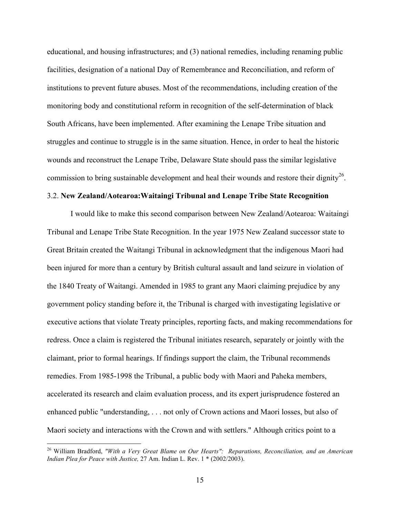educational, and housing infrastructures; and (3) national remedies, including renaming public facilities, designation of a national Day of Remembrance and Reconciliation, and reform of institutions to prevent future abuses. Most of the recommendations, including creation of the monitoring body and constitutional reform in recognition of the self-determination of black South Africans, have been implemented. After examining the Lenape Tribe situation and struggles and continue to struggle is in the same situation. Hence, in order to heal the historic wounds and reconstruct the Lenape Tribe, Delaware State should pass the similar legislative commission to bring sustainable development and heal their wounds and restore their dignity<sup>26</sup>.

# 3.2. **New Zealand/Aotearoa:Waitaingi Tribunal and Lenape Tribe State Recognition**

I would like to make this second comparison between New Zealand/Aotearoa: Waitaingi Tribunal and Lenape Tribe State Recognition. In the year 1975 New Zealand successor state to Great Britain created the Waitangi Tribunal in acknowledgment that the indigenous Maori had been injured for more than a century by British cultural assault and land seizure in violation of the 1840 Treaty of Waitangi. Amended in 1985 to grant any Maori claiming prejudice by any government policy standing before it, the Tribunal is charged with investigating legislative or executive actions that violate Treaty principles, reporting facts, and making recommendations for redress. Once a claim is registered the Tribunal initiates research, separately or jointly with the claimant, prior to formal hearings. If findings support the claim, the Tribunal recommends remedies. From 1985-1998 the Tribunal, a public body with Maori and Paheka members, accelerated its research and claim evaluation process, and its expert jurisprudence fostered an enhanced public "understanding, . . . not only of Crown actions and Maori losses, but also of Maori society and interactions with the Crown and with settlers." Although critics point to a

 <sup>26</sup> William Bradford, *"With a Very Great Blame on Our Hearts": Reparations, Reconciliation, and an American Indian Plea for Peace with Justice,* 27 Am. Indian L. Rev. 1 \* (2002/2003).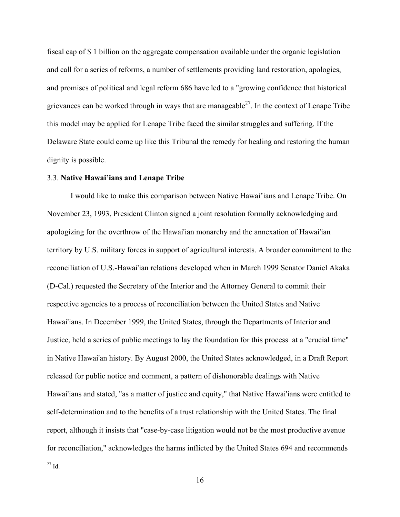fiscal cap of \$ 1 billion on the aggregate compensation available under the organic legislation and call for a series of reforms, a number of settlements providing land restoration, apologies, and promises of political and legal reform 686 have led to a "growing confidence that historical grievances can be worked through in ways that are manageable<sup>27</sup>. In the context of Lenape Tribe this model may be applied for Lenape Tribe faced the similar struggles and suffering. If the Delaware State could come up like this Tribunal the remedy for healing and restoring the human dignity is possible.

## 3.3. **Native Hawai'ians and Lenape Tribe**

I would like to make this comparison between Native Hawai'ians and Lenape Tribe. On November 23, 1993, President Clinton signed a joint resolution formally acknowledging and apologizing for the overthrow of the Hawai'ian monarchy and the annexation of Hawai'ian territory by U.S. military forces in support of agricultural interests. A broader commitment to the reconciliation of U.S.-Hawai'ian relations developed when in March 1999 Senator Daniel Akaka (D-Cal.) requested the Secretary of the Interior and the Attorney General to commit their respective agencies to a process of reconciliation between the United States and Native Hawai'ians. In December 1999, the United States, through the Departments of Interior and Justice, held a series of public meetings to lay the foundation for this process at a "crucial time" in Native Hawai'an history. By August 2000, the United States acknowledged, in a Draft Report released for public notice and comment, a pattern of dishonorable dealings with Native Hawai'ians and stated, "as a matter of justice and equity," that Native Hawai'ians were entitled to self-determination and to the benefits of a trust relationship with the United States. The final report, although it insists that "case-by-case litigation would not be the most productive avenue for reconciliation," acknowledges the harms inflicted by the United States 694 and recommends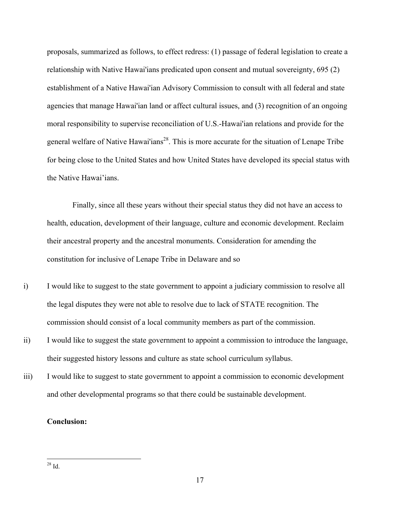proposals, summarized as follows, to effect redress: (1) passage of federal legislation to create a relationship with Native Hawai'ians predicated upon consent and mutual sovereignty, 695 (2) establishment of a Native Hawai'ian Advisory Commission to consult with all federal and state agencies that manage Hawai'ian land or affect cultural issues, and (3) recognition of an ongoing moral responsibility to supervise reconciliation of U.S.-Hawai'ian relations and provide for the general welfare of Native Hawai'ians<sup>28</sup>. This is more accurate for the situation of Lenape Tribe for being close to the United States and how United States have developed its special status with the Native Hawai'ians.

Finally, since all these years without their special status they did not have an access to health, education, development of their language, culture and economic development. Reclaim their ancestral property and the ancestral monuments. Consideration for amending the constitution for inclusive of Lenape Tribe in Delaware and so

- i) I would like to suggest to the state government to appoint a judiciary commission to resolve all the legal disputes they were not able to resolve due to lack of STATE recognition. The commission should consist of a local community members as part of the commission.
- ii) I would like to suggest the state government to appoint a commission to introduce the language, their suggested history lessons and culture as state school curriculum syllabus.
- iii) I would like to suggest to state government to appoint a commission to economic development and other developmental programs so that there could be sustainable development.

# **Conclusion:**

28 Id.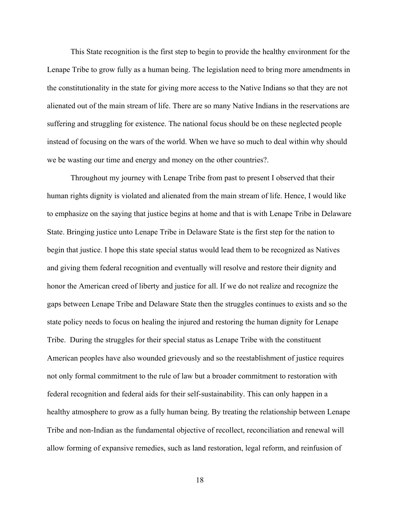This State recognition is the first step to begin to provide the healthy environment for the Lenape Tribe to grow fully as a human being. The legislation need to bring more amendments in the constitutionality in the state for giving more access to the Native Indians so that they are not alienated out of the main stream of life. There are so many Native Indians in the reservations are suffering and struggling for existence. The national focus should be on these neglected people instead of focusing on the wars of the world. When we have so much to deal within why should we be wasting our time and energy and money on the other countries?.

Throughout my journey with Lenape Tribe from past to present I observed that their human rights dignity is violated and alienated from the main stream of life. Hence, I would like to emphasize on the saying that justice begins at home and that is with Lenape Tribe in Delaware State. Bringing justice unto Lenape Tribe in Delaware State is the first step for the nation to begin that justice. I hope this state special status would lead them to be recognized as Natives and giving them federal recognition and eventually will resolve and restore their dignity and honor the American creed of liberty and justice for all. If we do not realize and recognize the gaps between Lenape Tribe and Delaware State then the struggles continues to exists and so the state policy needs to focus on healing the injured and restoring the human dignity for Lenape Tribe. During the struggles for their special status as Lenape Tribe with the constituent American peoples have also wounded grievously and so the reestablishment of justice requires not only formal commitment to the rule of law but a broader commitment to restoration with federal recognition and federal aids for their self-sustainability. This can only happen in a healthy atmosphere to grow as a fully human being. By treating the relationship between Lenape Tribe and non-Indian as the fundamental objective of recollect, reconciliation and renewal will allow forming of expansive remedies, such as land restoration, legal reform, and reinfusion of

18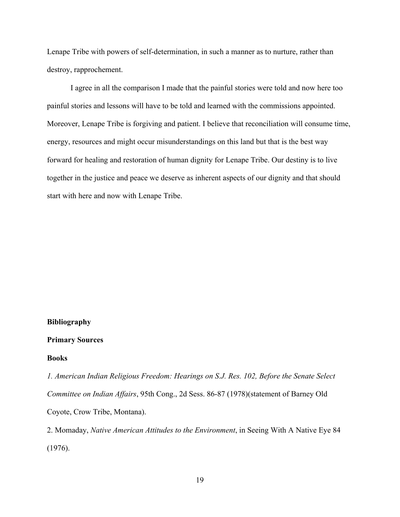Lenape Tribe with powers of self-determination, in such a manner as to nurture, rather than destroy, rapprochement.

I agree in all the comparison I made that the painful stories were told and now here too painful stories and lessons will have to be told and learned with the commissions appointed. Moreover, Lenape Tribe is forgiving and patient. I believe that reconciliation will consume time, energy, resources and might occur misunderstandings on this land but that is the best way forward for healing and restoration of human dignity for Lenape Tribe. Our destiny is to live together in the justice and peace we deserve as inherent aspects of our dignity and that should start with here and now with Lenape Tribe.

#### **Bibliography**

#### **Primary Sources**

#### **Books**

*1. American Indian Religious Freedom: Hearings on S.J. Res. 102, Before the Senate Select Committee on Indian Affairs*, 95th Cong., 2d Sess. 86-87 (1978)(statement of Barney Old Coyote, Crow Tribe, Montana).

2. Momaday, *Native American Attitudes to the Environment*, in Seeing With A Native Eye 84 (1976).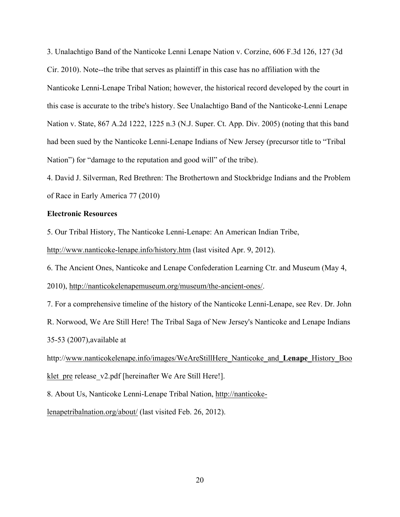3. Unalachtigo Band of the Nanticoke Lenni Lenape Nation v. Corzine, 606 F.3d 126, 127 (3d Cir. 2010). Note--the tribe that serves as plaintiff in this case has no affiliation with the Nanticoke Lenni-Lenape Tribal Nation; however, the historical record developed by the court in this case is accurate to the tribe's history. See Unalachtigo Band of the Nanticoke-Lenni Lenape Nation v. State, 867 A.2d 1222, 1225 n.3 (N.J. Super. Ct. App. Div. 2005) (noting that this band had been sued by the Nanticoke Lenni-Lenape Indians of New Jersey (precursor title to "Tribal Nation") for "damage to the reputation and good will" of the tribe).

4. David J. Silverman, Red Brethren: The Brothertown and Stockbridge Indians and the Problem of Race in Early America 77 (2010)

# **Electronic Resources**

5. Our Tribal History, The Nanticoke Lenni-Lenape: An American Indian Tribe,

http://www.nanticoke-lenape.info/history.htm (last visited Apr. 9, 2012).

6. The Ancient Ones, Nanticoke and Lenape Confederation Learning Ctr. and Museum (May 4,

2010), http://nanticokelenapemuseum.org/museum/the-ancient-ones/.

7. For a comprehensive timeline of the history of the Nanticoke Lenni-Lenape, see Rev. Dr. John

R. Norwood, We Are Still Here! The Tribal Saga of New Jersey's Nanticoke and Lenape Indians 35-53 (2007),available at

http://www.nanticokelenape.info/images/WeAreStillHere\_Nanticoke\_and\_**Lenape**\_History\_Boo klet pre release v2.pdf [hereinafter We Are Still Here!].

8. About Us, Nanticoke Lenni-Lenape Tribal Nation, http://nanticoke-

lenapetribalnation.org/about/ (last visited Feb. 26, 2012).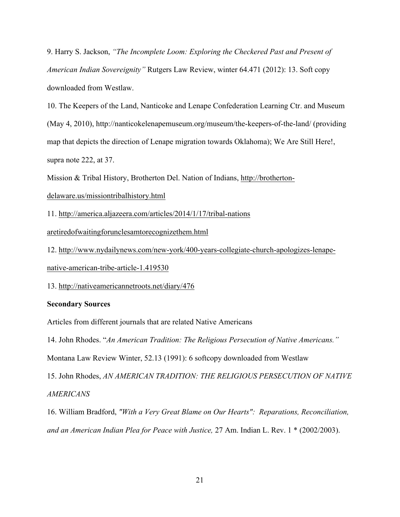9. Harry S. Jackson, *"The Incomplete Loom: Exploring the Checkered Past and Present of American Indian Sovereignity"* Rutgers Law Review, winter 64.471 (2012): 13. Soft copy downloaded from Westlaw.

10. The Keepers of the Land, Nanticoke and Lenape Confederation Learning Ctr. and Museum (May 4, 2010), http://nanticokelenapemuseum.org/museum/the-keepers-of-the-land/ (providing map that depicts the direction of Lenape migration towards Oklahoma); We Are Still Here!, supra note 222, at 37.

Mission & Tribal History, Brotherton Del. Nation of Indians, http://brotherton-

## delaware.us/missiontribalhistory.html

11. http://america.aljazeera.com/articles/2014/1/17/tribal-nations

aretiredofwaitingforunclesamtorecognizethem.html

12. http://www.nydailynews.com/new-york/400-years-collegiate-church-apologizes-lenapenative-american-tribe-article-1.419530

13. http://nativeamericannetroots.net/diary/476

## **Secondary Sources**

Articles from different journals that are related Native Americans

14. John Rhodes. "*An American Tradition: The Religious Persecution of Native Americans."* 

Montana Law Review Winter, 52.13 (1991): 6 softcopy downloaded from Westlaw

15. John Rhodes, *AN AMERICAN TRADITION: THE RELIGIOUS PERSECUTION OF NATIVE AMERICANS*

16. William Bradford, *"With a Very Great Blame on Our Hearts": Reparations, Reconciliation, and an American Indian Plea for Peace with Justice,* 27 Am. Indian L. Rev. 1 \* (2002/2003).